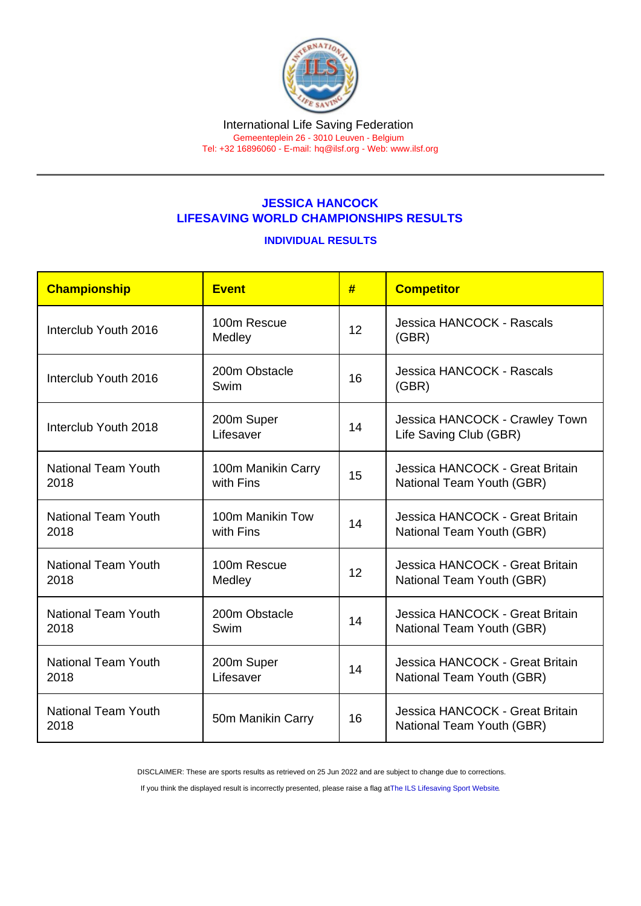## JESSICA HANCOCK LIFESAVING WORLD CHAMPIONSHIPS RESULTS

## INDIVIDUAL RESULTS

| Championship                | <b>Event</b>            | #  | <b>Competitor</b>                                            |
|-----------------------------|-------------------------|----|--------------------------------------------------------------|
| Interclub Youth 2016        | 100m Rescue<br>Medley   | 12 | Jessica HANCOCK - Rascals<br>(GBR)                           |
| Interclub Youth 2016        | 200m Obstacle<br>Swim   | 16 | Jessica HANCOCK - Rascals<br>(GBR)                           |
| Interclub Youth 2018        | 200m Super<br>Lifesaver | 14 | Jessica HANCOCK - Crawley Town<br>Life Saving Club (GBR)     |
| <b>National Team Youth</b>  | 100m Manikin Carry      | 15 | Jessica HANCOCK - Great Britain                              |
| 2018                        | with Fins               |    | National Team Youth (GBR)                                    |
| <b>National Team Youth</b>  | 100m Manikin Tow        | 14 | Jessica HANCOCK - Great Britain                              |
| 2018                        | with Fins               |    | National Team Youth (GBR)                                    |
| <b>National Team Youth</b>  | 100m Rescue             | 12 | Jessica HANCOCK - Great Britain                              |
| 2018                        | Medley                  |    | National Team Youth (GBR)                                    |
| <b>National Team Youth</b>  | 200m Obstacle           | 14 | Jessica HANCOCK - Great Britain                              |
| 2018                        | Swim                    |    | National Team Youth (GBR)                                    |
| <b>National Team Youth</b>  | 200m Super              | 14 | Jessica HANCOCK - Great Britain                              |
| 2018                        | Lifesaver               |    | National Team Youth (GBR)                                    |
| National Team Youth<br>2018 | 50m Manikin Carry       | 16 | Jessica HANCOCK - Great Britain<br>National Team Youth (GBR) |

DISCLAIMER: These are sports results as retrieved on 25 Jun 2022 and are subject to change due to corrections.

If you think the displayed result is incorrectly presented, please raise a flag at [The ILS Lifesaving Sport Website.](https://sport.ilsf.org)